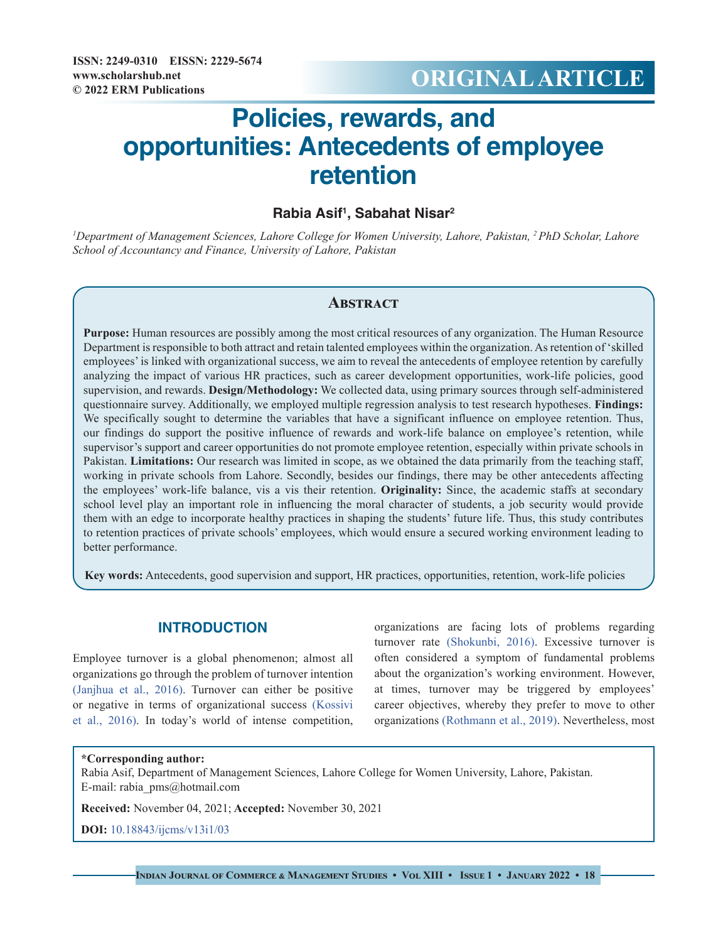# **© 2022 ERM Publications ORIGINAL ARTICLE**

# **Policies, rewards, and opportunities: Antecedents of employee retention**

# **Rabia Asif1 , Sabahat Nisar2**

*1 Department of Management Sciences, Lahore College for Women University, Lahore, Pakistan, 2 PhD Scholar, Lahore School of Accountancy and Finance, University of Lahore, Pakistan*

## **Abstract**

**Purpose:** Human resources are possibly among the most critical resources of any organization. The Human Resource Department is responsible to both attract and retain talented employees within the organization. As retention of 'skilled employees' is linked with organizational success, we aim to reveal the antecedents of employee retention by carefully analyzing the impact of various HR practices, such as career development opportunities, work-life policies, good supervision, and rewards. **Design/Methodology:** We collected data, using primary sources through self-administered questionnaire survey. Additionally, we employed multiple regression analysis to test research hypotheses. **Findings:** We specifically sought to determine the variables that have a significant influence on employee retention. Thus, our findings do support the positive influence of rewards and work-life balance on employee's retention, while supervisor's support and career opportunities do not promote employee retention, especially within private schools in Pakistan. **Limitations:** Our research was limited in scope, as we obtained the data primarily from the teaching staff, working in private schools from Lahore. Secondly, besides our findings, there may be other antecedents affecting the employees' work-life balance, vis a vis their retention. **Originality:** Since, the academic staffs at secondary school level play an important role in influencing the moral character of students, a job security would provide them with an edge to incorporate healthy practices in shaping the students' future life. Thus, this study contributes to retention practices of private schools' employees, which would ensure a secured working environment leading to better performance.

**Key words:** Antecedents, good supervision and support, HR practices, opportunities, retention, work-life policies

# **INTRODUCTION**

Employee turnover is a global phenomenon; almost all organizations go through the problem of turnover intention [\(Janjhua et al., 2016\).](#page-7-0) Turnover can either be positive or negative in terms of organizational success [\(Kossivi](#page-7-1)  [et al., 2016\).](#page-7-1) In today's world of intense competition,

organizations are facing lots of problems regarding turnover rate [\(Shokunbi, 2016\).](#page-8-0) Excessive turnover is often considered a symptom of fundamental problems about the organization's working environment. However, at times, turnover may be triggered by employees' career objectives, whereby they prefer to move to other organizations [\(Rothmann et al., 2019\).](#page-8-1) Nevertheless, most

#### **\*Corresponding author:**

Rabia Asif, Department of Management Sciences, Lahore College for Women University, Lahore, Pakistan. E-mail: rabia\_pms@hotmail.com

**Received:** November 04, 2021; **Accepted:** November 30, 2021

**DOI:** [10.18843/ijcms/v13i1/03](http://dx.doi.org/10.18843/ijcms/v13i1/03)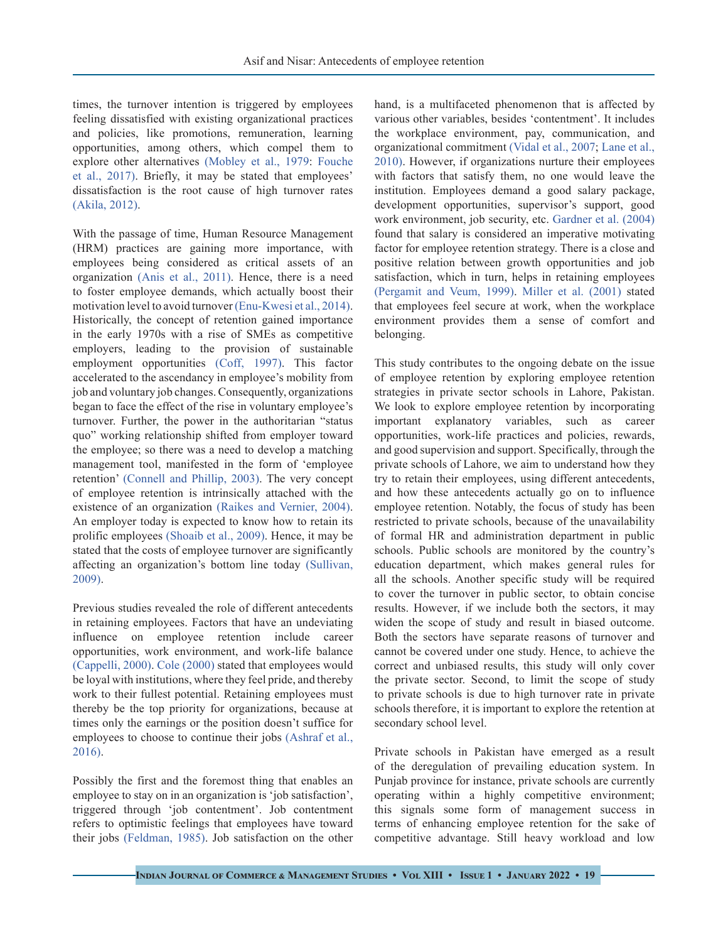times, the turnover intention is triggered by employees feeling dissatisfied with existing organizational practices and policies, like promotions, remuneration, learning opportunities, among others, which compel them to explore other alternatives (Mobley et al., 1979: [Fouche](#page-7-2)  [et al., 2017\).](#page-7-2) Briefly, it may be stated that employees' dissatisfaction is the root cause of high turnover rates (Akila, 2012).

With the passage of time, Human Resource Management (HRM) practices are gaining more importance, with employees being considered as critical assets of an organization [\(Anis et al., 2011\)](#page-7-3). Hence, there is a need to foster employee demands, which actually boost their motivation level to avoid turnover (Enu-Kwesi et al., 2014). Historically, the concept of retention gained importance in the early 1970s with a rise of SMEs as competitive employers, leading to the provision of sustainable employment opportunities [\(Coff, 1997\)](#page-7-4). This factor accelerated to the ascendancy in employee's mobility from job and voluntary job changes. Consequently, organizations began to face the effect of the rise in voluntary employee's turnover. Further, the power in the authoritarian "status quo" working relationship shifted from employer toward the employee; so there was a need to develop a matching management tool, manifested in the form of 'employee retention' (Connell and Phillip, 2003). The very concept of employee retention is intrinsically attached with the existence of an organization [\(Raikes and Vernier, 2004\)](#page-8-2). An employer today is expected to know how to retain its prolific employees [\(Shoaib et al., 2009\).](#page-8-3) Hence, it may be stated that the costs of employee turnover are significantly affecting an organization's bottom line today [\(Sullivan,](#page-8-4) [2009\).](#page-8-4)

Previous studies revealed the role of different antecedents in retaining employees. Factors that have an undeviating influence on employee retention include career opportunities, work environment, and work-life balance (Cappelli, 2000). [Cole \(2000\)](#page-7-5) stated that employees would be loyal with institutions, where they feel pride, and thereby work to their fullest potential. Retaining employees must thereby be the top priority for organizations, because at times only the earnings or the position doesn't suffice for employees to choose to continue their jobs (Ashraf et al., 2016).

Possibly the first and the foremost thing that enables an employee to stay on in an organization is 'job satisfaction', triggered through 'job contentment'. Job contentment refers to optimistic feelings that employees have toward their jobs (Feldman, 1985). Job satisfaction on the other

hand, is a multifaceted phenomenon that is affected by various other variables, besides 'contentment'. It includes the workplace environment, pay, communication, and organizational commitment [\(Vidal et al., 2007;](#page-8-5) Lane et al., 2010). However, if organizations nurture their employees with factors that satisfy them, no one would leave the institution. Employees demand a good salary package, development opportunities, supervisor's support, good work environment, job security, etc. Gardner et al. (2004) found that salary is considered an imperative motivating factor for employee retention strategy. There is a close and positive relation between growth opportunities and job satisfaction, which in turn, helps in retaining employees [\(Pergamit and Veum, 1999\)](#page-7-6). [Miller et al. \(2001\)](#page-7-7) stated that employees feel secure at work, when the workplace environment provides them a sense of comfort and belonging.

This study contributes to the ongoing debate on the issue of employee retention by exploring employee retention strategies in private sector schools in Lahore, Pakistan. We look to explore employee retention by incorporating important explanatory variables, such as career opportunities, work-life practices and policies, rewards, and good supervision and support. Specifically, through the private schools of Lahore, we aim to understand how they try to retain their employees, using different antecedents, and how these antecedents actually go on to influence employee retention. Notably, the focus of study has been restricted to private schools, because of the unavailability of formal HR and administration department in public schools. Public schools are monitored by the country's education department, which makes general rules for all the schools. Another specific study will be required to cover the turnover in public sector, to obtain concise results. However, if we include both the sectors, it may widen the scope of study and result in biased outcome. Both the sectors have separate reasons of turnover and cannot be covered under one study. Hence, to achieve the correct and unbiased results, this study will only cover the private sector. Second, to limit the scope of study to private schools is due to high turnover rate in private schools therefore, it is important to explore the retention at secondary school level.

Private schools in Pakistan have emerged as a result of the deregulation of prevailing education system. In Punjab province for instance, private schools are currently operating within a highly competitive environment; this signals some form of management success in terms of enhancing employee retention for the sake of competitive advantage. Still heavy workload and low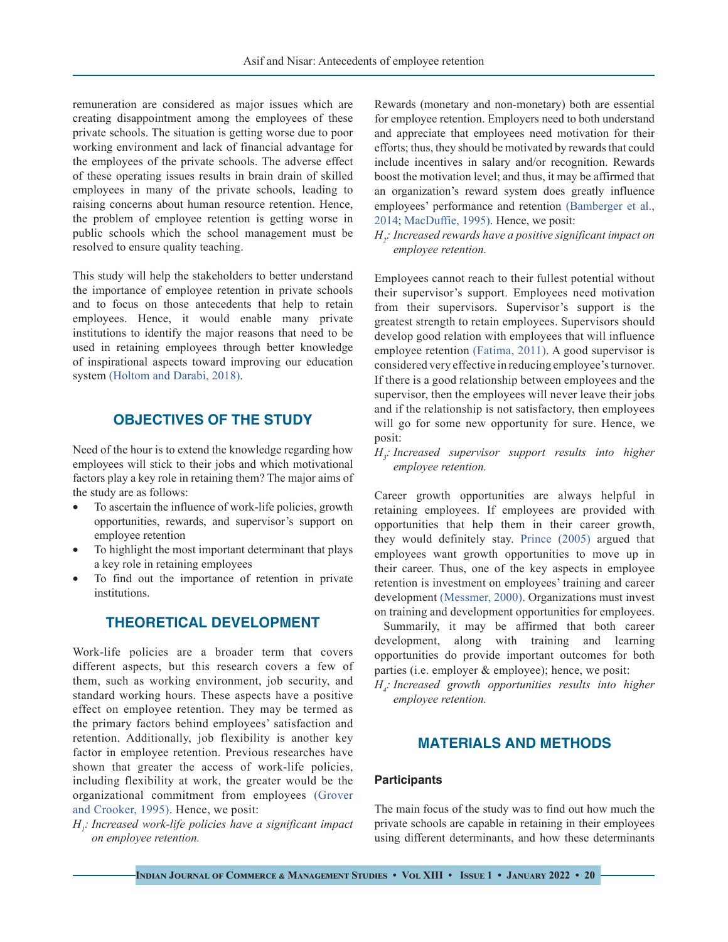remuneration are considered as major issues which are creating disappointment among the employees of these private schools. The situation is getting worse due to poor working environment and lack of financial advantage for the employees of the private schools. The adverse effect of these operating issues results in brain drain of skilled employees in many of the private schools, leading to raising concerns about human resource retention. Hence, the problem of employee retention is getting worse in public schools which the school management must be resolved to ensure quality teaching.

This study will help the stakeholders to better understand the importance of employee retention in private schools and to focus on those antecedents that help to retain employees. Hence, it would enable many private institutions to identify the major reasons that need to be used in retaining employees through better knowledge of inspirational aspects toward improving our education system [\(Holtom and Darabi, 2018\).](#page-7-8)

# **OBJECTIVES OF THE STUDY**

Need of the hour is to extend the knowledge regarding how employees will stick to their jobs and which motivational factors play a key role in retaining them? The major aims of the study are as follows:

- To ascertain the influence of work-life policies, growth opportunities, rewards, and supervisor's support on employee retention
- • To highlight the most important determinant that plays a key role in retaining employees
- To find out the importance of retention in private institutions.

# **THEORETICAL DEVELOPMENT**

Work-life policies are a broader term that covers different aspects, but this research covers a few of them, such as working environment, job security, and standard working hours. These aspects have a positive effect on employee retention. They may be termed as the primary factors behind employees' satisfaction and retention. Additionally, job flexibility is another key factor in employee retention. Previous researches have shown that greater the access of work-life policies, including flexibility at work, the greater would be the organizational commitment from employees (Grover and Crooker, 1995). Hence, we posit:

*H1 : Increased work-life policies have a significant impact on employee retention.*

Rewards (monetary and non-monetary) both are essential for employee retention. Employers need to both understand and appreciate that employees need motivation for their efforts; thus, they should be motivated by rewards that could include incentives in salary and/or recognition. Rewards boost the motivation level; and thus, it may be affirmed that an organization's reward system does greatly influence employees' performance and retention [\(Bamberger et al.,](#page-7-9)  [2014](#page-7-9); [MacDuffie, 1995\)](#page-7-10). Hence, we posit:

*H2 : Increased rewards have a positive significant impact on employee retention.*

Employees cannot reach to their fullest potential without their supervisor's support. Employees need motivation from their supervisors. Supervisor's support is the greatest strength to retain employees. Supervisors should develop good relation with employees that will influence employee retention [\(Fatima, 2011\)](#page-7-11). A good supervisor is considered very effective in reducing employee's turnover. If there is a good relationship between employees and the supervisor, then the employees will never leave their jobs and if the relationship is not satisfactory, then employees will go for some new opportunity for sure. Hence, we posit:

*H3 : Increased supervisor support results into higher employee retention.*

Career growth opportunities are always helpful in retaining employees. If employees are provided with opportunities that help them in their career growth, they would definitely stay. [Prince \(2005\)](#page-8-6) argued that employees want growth opportunities to move up in their career. Thus, one of the key aspects in employee retention is investment on employees' training and career development [\(Messmer, 2000\)](#page-7-12). Organizations must invest on training and development opportunities for employees.

 Summarily, it may be affirmed that both career development, along with training and learning opportunities do provide important outcomes for both parties (i.e. employer & employee); hence, we posit:

*H4 : Increased growth opportunities results into higher employee retention.*

# **MATERIALS AND METHODS**

## **Participants**

The main focus of the study was to find out how much the private schools are capable in retaining in their employees using different determinants, and how these determinants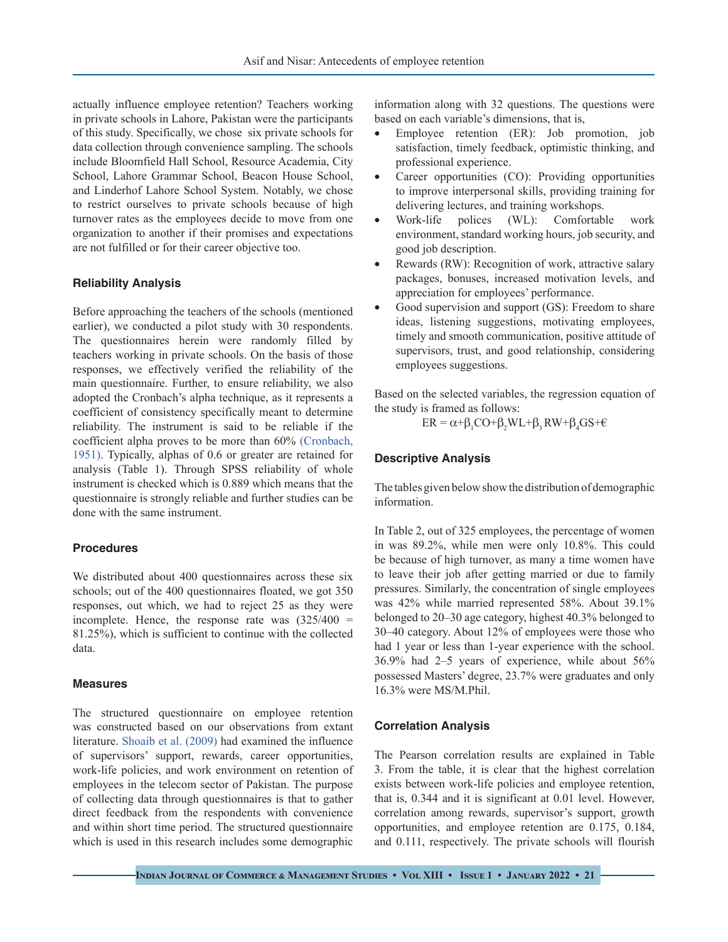actually influence employee retention? Teachers working in private schools in Lahore, Pakistan were the participants of this study. Specifically, we chose six private schools for data collection through convenience sampling. The schools include Bloomfield Hall School, Resource Academia, City School, Lahore Grammar School, Beacon House School, and Linderhof Lahore School System. Notably, we chose to restrict ourselves to private schools because of high turnover rates as the employees decide to move from one organization to another if their promises and expectations are not fulfilled or for their career objective too.

#### **Reliability Analysis**

Before approaching the teachers of the schools (mentioned earlier), we conducted a pilot study with 30 respondents. The questionnaires herein were randomly filled by teachers working in private schools. On the basis of those responses, we effectively verified the reliability of the main questionnaire. Further, to ensure reliability, we also adopted the Cronbach's alpha technique, as it represents a coefficient of consistency specifically meant to determine reliability. The instrument is said to be reliable if the coefficient alpha proves to be more than 60% [\(Cronbach,](#page-7-13) [1951\).](#page-7-13) Typically, alphas of 0.6 or greater are retained for analysis (Table 1). Through SPSS reliability of whole instrument is checked which is 0.889 which means that the questionnaire is strongly reliable and further studies can be done with the same instrument.

#### **Procedures**

We distributed about 400 questionnaires across these six schools; out of the 400 questionnaires floated, we got 350 responses, out which, we had to reject 25 as they were incomplete. Hence, the response rate was  $(325/400)$  = 81.25%), which is sufficient to continue with the collected data.

#### **Measures**

The structured questionnaire on employee retention was constructed based on our observations from extant literature. [Shoaib et al. \(2009\)](#page-8-3) had examined the influence of supervisors' support, rewards, career opportunities, work-life policies, and work environment on retention of employees in the telecom sector of Pakistan. The purpose of collecting data through questionnaires is that to gather direct feedback from the respondents with convenience and within short time period. The structured questionnaire which is used in this research includes some demographic

information along with 32 questions. The questions were based on each variable's dimensions, that is,

- Employee retention (ER): Job promotion, job satisfaction, timely feedback, optimistic thinking, and professional experience.
- Career opportunities (CO): Providing opportunities to improve interpersonal skills, providing training for delivering lectures, and training workshops.
- Work-life polices (WL): Comfortable work environment, standard working hours, job security, and good job description.
- Rewards (RW): Recognition of work, attractive salary packages, bonuses, increased motivation levels, and appreciation for employees' performance.
- Good supervision and support (GS): Freedom to share ideas, listening suggestions, motivating employees, timely and smooth communication, positive attitude of supervisors, trust, and good relationship, considering employees suggestions.

Based on the selected variables, the regression equation of the study is framed as follows:

 $ER = \alpha + \beta_1 CO + \beta_2 WL + \beta_3 RW + \beta_4 GS + \epsilon$ 

#### **Descriptive Analysis**

The tables given below show the distribution of demographic information.

In Table 2, out of 325 employees, the percentage of women in was 89.2%, while men were only 10.8%. This could be because of high turnover, as many a time women have to leave their job after getting married or due to family pressures. Similarly, the concentration of single employees was 42% while married represented 58%. About 39.1% belonged to 20–30 age category, highest 40.3% belonged to 30–40 category. About 12% of employees were those who had 1 year or less than 1-year experience with the school. 36.9% had 2–5 years of experience, while about 56% possessed Masters' degree, 23.7% were graduates and only 16.3% were MS/M.Phil.

#### **Correlation Analysis**

The Pearson correlation results are explained in Table 3. From the table, it is clear that the highest correlation exists between work-life policies and employee retention, that is, 0.344 and it is significant at 0.01 level. However, correlation among rewards, supervisor's support, growth opportunities, and employee retention are 0.175, 0.184, and 0.111, respectively. The private schools will flourish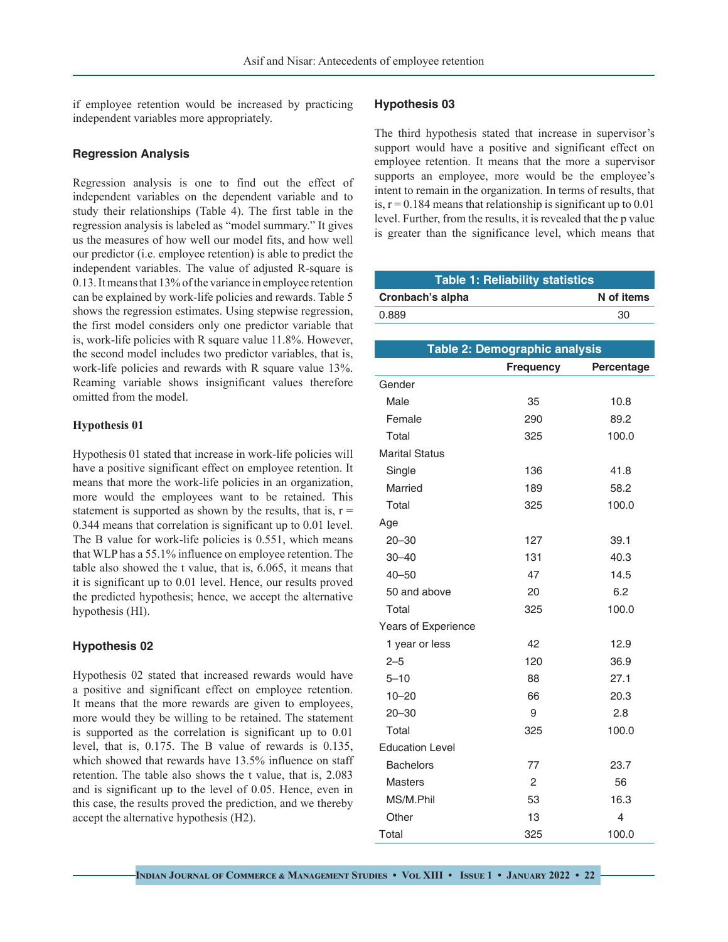if employee retention would be increased by practicing independent variables more appropriately.

#### **Regression Analysis**

Regression analysis is one to find out the effect of independent variables on the dependent variable and to study their relationships (Table 4). The first table in the regression analysis is labeled as "model summary." It gives us the measures of how well our model fits, and how well our predictor (i.e. employee retention) is able to predict the independent variables. The value of adjusted R-square is 0.13. It means that 13% of the variance in employee retention can be explained by work-life policies and rewards. Table 5 shows the regression estimates. Using stepwise regression, the first model considers only one predictor variable that is, work-life policies with R square value 11.8%. However, the second model includes two predictor variables, that is, work-life policies and rewards with R square value 13%. Reaming variable shows insignificant values therefore omitted from the model.

### **Hypothesis 01**

Hypothesis 01 stated that increase in work-life policies will have a positive significant effect on employee retention. It means that more the work-life policies in an organization, more would the employees want to be retained. This statement is supported as shown by the results, that is,  $r =$ 0.344 means that correlation is significant up to 0.01 level. The B value for work-life policies is 0.551, which means that WLP has a 55.1% influence on employee retention. The table also showed the t value, that is, 6.065, it means that it is significant up to 0.01 level. Hence, our results proved the predicted hypothesis; hence, we accept the alternative hypothesis (HI).

## **Hypothesis 02**

Hypothesis 02 stated that increased rewards would have a positive and significant effect on employee retention. It means that the more rewards are given to employees, more would they be willing to be retained. The statement is supported as the correlation is significant up to 0.01 level, that is, 0.175. The B value of rewards is 0.135, which showed that rewards have 13.5% influence on staff retention. The table also shows the t value, that is, 2.083 and is significant up to the level of 0.05. Hence, even in this case, the results proved the prediction, and we thereby accept the alternative hypothesis (H2).

#### **Hypothesis 03**

The third hypothesis stated that increase in supervisor's support would have a positive and significant effect on employee retention. It means that the more a supervisor supports an employee, more would be the employee's intent to remain in the organization. In terms of results, that is,  $r = 0.184$  means that relationship is significant up to 0.01 level. Further, from the results, it is revealed that the p value is greater than the significance level, which means that

| <b>Table 1: Reliability statistics</b> |            |  |  |
|----------------------------------------|------------|--|--|
| Cronbach's alpha                       | N of items |  |  |
| 0.889                                  | 30         |  |  |

| Table 2: Demographic analysis  |     |       |  |  |  |
|--------------------------------|-----|-------|--|--|--|
| <b>Frequency</b><br>Percentage |     |       |  |  |  |
| Gender                         |     |       |  |  |  |
| Male                           | 35  | 10.8  |  |  |  |
| Female                         | 290 | 89.2  |  |  |  |
| Total                          | 325 | 100.0 |  |  |  |
| <b>Marital Status</b>          |     |       |  |  |  |
| Single                         | 136 | 41.8  |  |  |  |
| Married                        | 189 | 58.2  |  |  |  |
| Total                          | 325 | 100.0 |  |  |  |
| Age                            |     |       |  |  |  |
| $20 - 30$                      | 127 | 39.1  |  |  |  |
| $30 - 40$                      | 131 | 40.3  |  |  |  |
| $40 - 50$                      | 47  | 14.5  |  |  |  |
| 50 and above                   | 20  | 6.2   |  |  |  |
| Total                          | 325 | 100.0 |  |  |  |
| Years of Experience            |     |       |  |  |  |
| 1 year or less                 | 42  | 12.9  |  |  |  |
| $2 - 5$                        | 120 | 36.9  |  |  |  |
| $5 - 10$                       | 88  | 27.1  |  |  |  |
| $10 - 20$                      | 66  | 20.3  |  |  |  |
| $20 - 30$                      | 9   | 2.8   |  |  |  |
| Total                          | 325 | 100.0 |  |  |  |
| <b>Education Level</b>         |     |       |  |  |  |
| <b>Bachelors</b>               | 77  | 23.7  |  |  |  |
| Masters                        | 2   | 56    |  |  |  |
| MS/M.Phil                      | 53  | 16.3  |  |  |  |
| Other                          | 13  | 4     |  |  |  |
| Total                          | 325 | 100.0 |  |  |  |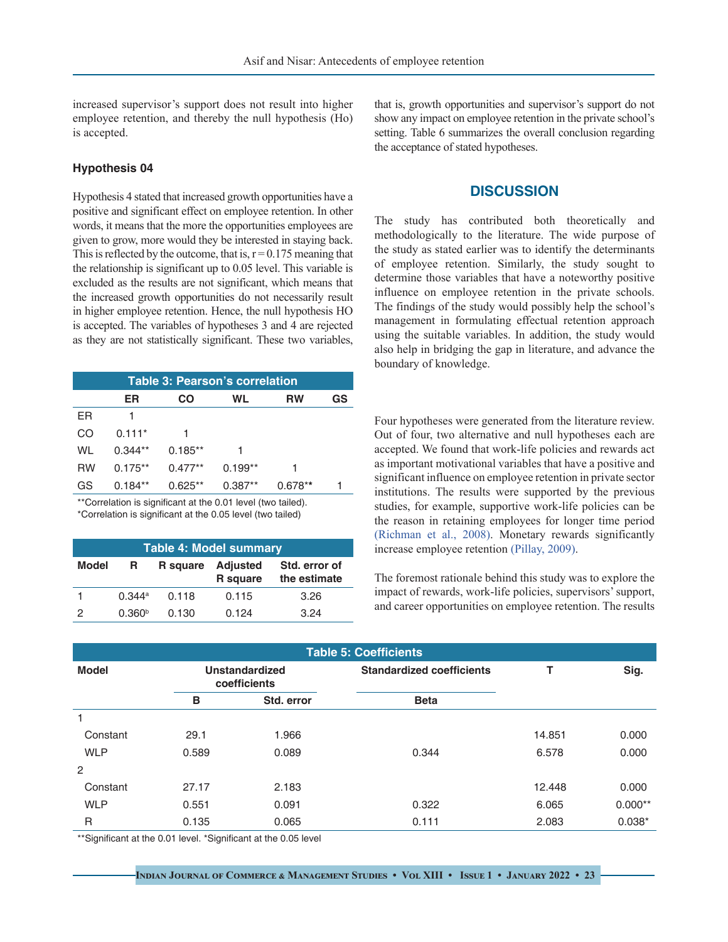increased supervisor's support does not result into higher employee retention, and thereby the null hypothesis (Ho) is accepted.

#### **Hypothesis 04**

Hypothesis 4 stated that increased growth opportunities have a positive and significant effect on employee retention. In other words, it means that the more the opportunities employees are given to grow, more would they be interested in staying back. This is reflected by the outcome, that is,  $r = 0.175$  meaning that the relationship is significant up to 0.05 level. This variable is excluded as the results are not significant, which means that the increased growth opportunities do not necessarily result in higher employee retention. Hence, the null hypothesis HO is accepted. The variables of hypotheses 3 and 4 are rejected as they are not statistically significant. These two variables,

| Table 3: Pearson's correlation |           |           |           |           |    |
|--------------------------------|-----------|-----------|-----------|-----------|----|
|                                | ER        | CO        | WL        | <b>RW</b> | GS |
| ER                             |           |           |           |           |    |
| CO                             | $0.111*$  |           |           |           |    |
| WL                             | $0.344**$ | $0.185**$ |           |           |    |
| <b>RW</b>                      | $0.175**$ | $0.477**$ | $0.199**$ |           |    |
| GS                             | $0.184**$ | $0.625**$ | $0.387**$ | $0.678**$ |    |

\*\*Correlation is significant at the 0.01 level (two tailed). \*Correlation is significant at the 0.05 level (two tailed)

| <b>Table 4: Model summary</b> |                    |          |                                    |                               |
|-------------------------------|--------------------|----------|------------------------------------|-------------------------------|
| <b>Model</b>                  | R                  | R square | <b>Adjusted</b><br><b>R</b> square | Std. error of<br>the estimate |
|                               | 0.344a             | 0.118    | 0.115                              | 3.26                          |
| $\mathcal{P}$                 | 0.360 <sup>b</sup> | 0.130    | 0.124                              | 3.24                          |

that is, growth opportunities and supervisor's support do not show any impact on employee retention in the private school's setting. Table 6 summarizes the overall conclusion regarding the acceptance of stated hypotheses.

### **DISCUSSION**

The study has contributed both theoretically and methodologically to the literature. The wide purpose of the study as stated earlier was to identify the determinants of employee retention. Similarly, the study sought to determine those variables that have a noteworthy positive influence on employee retention in the private schools. The findings of the study would possibly help the school's management in formulating effectual retention approach using the suitable variables. In addition, the study would also help in bridging the gap in literature, and advance the boundary of knowledge.

Four hypotheses were generated from the literature review. Out of four, two alternative and null hypotheses each are accepted. We found that work-life policies and rewards act as important motivational variables that have a positive and significant influence on employee retention in private sector institutions. The results were supported by the previous studies, for example, supportive work-life policies can be the reason in retaining employees for longer time period [\(Richman et al., 2008\)](#page-8-7). Monetary rewards significantly increase employee retention (Pillay, 2009).

The foremost rationale behind this study was to explore the impact of rewards, work-life policies, supervisors' support, and career opportunities on employee retention. The results

| <b>Table 5: Coefficients</b> |                                       |            |                                  |        |           |
|------------------------------|---------------------------------------|------------|----------------------------------|--------|-----------|
| <b>Model</b>                 | <b>Unstandardized</b><br>coefficients |            | <b>Standardized coefficients</b> |        | Sig.      |
|                              | B                                     | Std. error | <b>Beta</b>                      |        |           |
|                              |                                       |            |                                  |        |           |
| Constant                     | 29.1                                  | 1.966      |                                  | 14.851 | 0.000     |
| <b>WLP</b>                   | 0.589                                 | 0.089      | 0.344                            | 6.578  | 0.000     |
| 2                            |                                       |            |                                  |        |           |
| Constant                     | 27.17                                 | 2.183      |                                  | 12.448 | 0.000     |
| <b>WLP</b>                   | 0.551                                 | 0.091      | 0.322                            | 6.065  | $0.000**$ |
| R                            | 0.135                                 | 0.065      | 0.111                            | 2.083  | $0.038*$  |
|                              |                                       |            |                                  |        |           |

\*\*Significant at the 0.01 level. \*Significant at the 0.05 level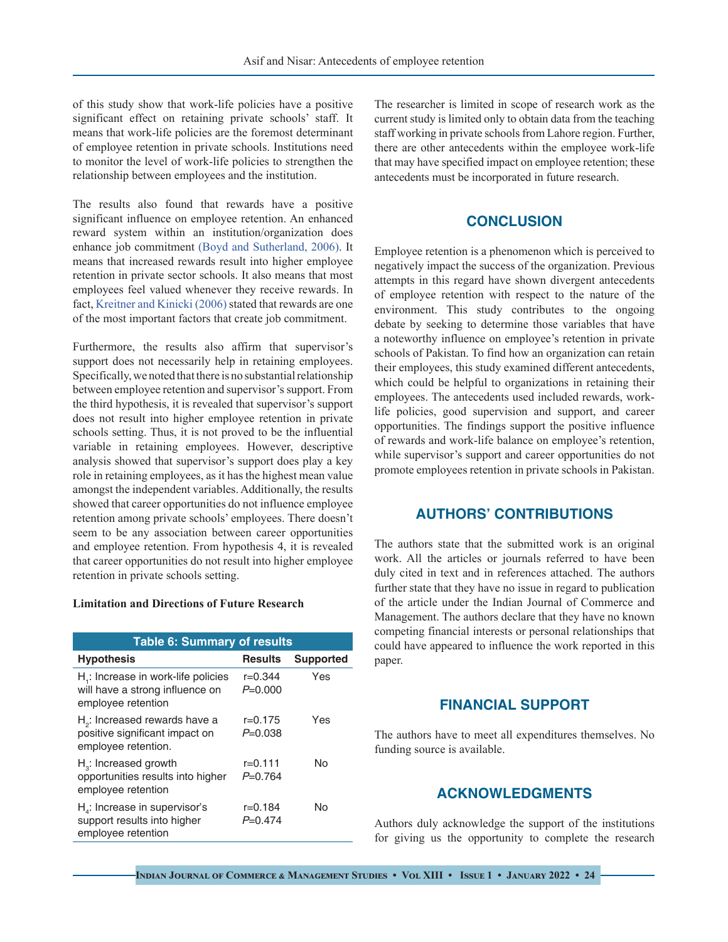of this study show that work-life policies have a positive significant effect on retaining private schools' staff. It means that work-life policies are the foremost determinant of employee retention in private schools. Institutions need to monitor the level of work-life policies to strengthen the relationship between employees and the institution.

The results also found that rewards have a positive significant influence on employee retention. An enhanced reward system within an institution/organization does enhance job commitment [\(Boyd and Sutherland, 2006\)](#page-7-14). It means that increased rewards result into higher employee retention in private sector schools. It also means that most employees feel valued whenever they receive rewards. In fact, Kreitner and Kinicki (2006) stated that rewards are one of the most important factors that create job commitment.

Furthermore, the results also affirm that supervisor's support does not necessarily help in retaining employees. Specifically, we noted that there is no substantial relationship between employee retention and supervisor's support. From the third hypothesis, it is revealed that supervisor's support does not result into higher employee retention in private schools setting. Thus, it is not proved to be the influential variable in retaining employees. However, descriptive analysis showed that supervisor's support does play a key role in retaining employees, as it has the highest mean value amongst the independent variables. Additionally, the results showed that career opportunities do not influence employee retention among private schools' employees. There doesn't seem to be any association between career opportunities and employee retention. From hypothesis 4, it is revealed that career opportunities do not result into higher employee retention in private schools setting.

#### **Limitation and Directions of Future Research**

| <b>Table 6: Summary of results</b>                                                           |                          |                  |  |  |
|----------------------------------------------------------------------------------------------|--------------------------|------------------|--|--|
| <b>Hypothesis</b>                                                                            | <b>Results</b>           | <b>Supported</b> |  |  |
| H .: Increase in work-life policies<br>will have a strong influence on<br>employee retention | $r = 0.344$<br>$P=0.000$ | Yes              |  |  |
| $H2$ : Increased rewards have a<br>positive significant impact on<br>employee retention.     | r=0.175<br>$P=0.038$     | Yes              |  |  |
| $H3$ : Increased growth<br>opportunities results into higher<br>employee retention           | r=0.111<br>$P=0.764$     | N٥               |  |  |
| $Ha$ : Increase in supervisor's<br>support results into higher<br>employee retention         | r=0.184<br>$P=0.474$     | N٥               |  |  |

The researcher is limited in scope of research work as the current study is limited only to obtain data from the teaching staff working in private schools from Lahore region. Further, there are other antecedents within the employee work-life that may have specified impact on employee retention; these antecedents must be incorporated in future research.

## **CONCLUSION**

Employee retention is a phenomenon which is perceived to negatively impact the success of the organization. Previous attempts in this regard have shown divergent antecedents of employee retention with respect to the nature of the environment. This study contributes to the ongoing debate by seeking to determine those variables that have a noteworthy influence on employee's retention in private schools of Pakistan. To find how an organization can retain their employees, this study examined different antecedents, which could be helpful to organizations in retaining their employees. The antecedents used included rewards, worklife policies, good supervision and support, and career opportunities. The findings support the positive influence of rewards and work-life balance on employee's retention, while supervisor's support and career opportunities do not promote employees retention in private schools in Pakistan.

## **AUTHORS' CONTRIBUTIONS**

The authors state that the submitted work is an original work. All the articles or journals referred to have been duly cited in text and in references attached. The authors further state that they have no issue in regard to publication of the article under the Indian Journal of Commerce and Management. The authors declare that they have no known competing financial interests or personal relationships that could have appeared to influence the work reported in this paper.

## **FINANCIAL SUPPORT**

The authors have to meet all expenditures themselves. No funding source is available.

## **ACKNOWLEDGMENTS**

Authors duly acknowledge the support of the institutions for giving us the opportunity to complete the research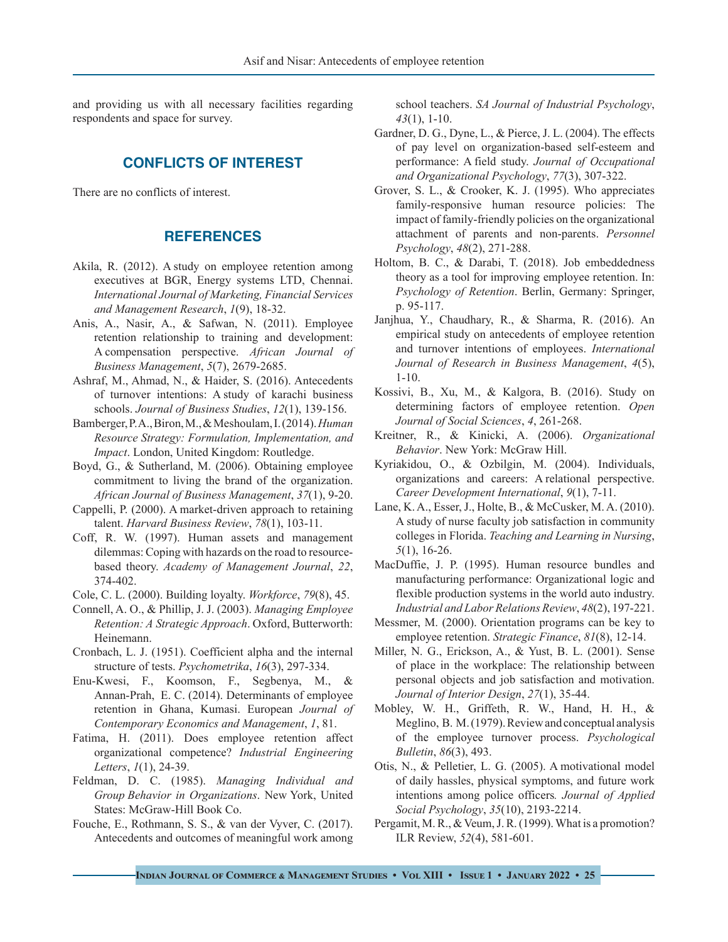and providing us with all necessary facilities regarding respondents and space for survey.

# **CONFLICTS OF INTEREST**

There are no conflicts of interest.

## **REFERENCES**

- Akila, R. (2012). A study on employee retention among executives at BGR, Energy systems LTD, Chennai. *International Journal of Marketing, Financial Services and Management Research*, *1*(9), 18-32.
- <span id="page-7-3"></span>Anis, A., Nasir, A., & Safwan, N. (2011). Employee retention relationship to training and development: A compensation perspective. *African Journal of Business Management*, *5*(7), 2679-2685.
- Ashraf, M., Ahmad, N., & Haider, S. (2016). Antecedents of turnover intentions: A study of karachi business schools. *Journal of Business Studies*, *12*(1), 139-156.
- <span id="page-7-9"></span>Bamberger, P. A., Biron, M., & Meshoulam, I. (2014). *Human Resource Strategy: Formulation, Implementation, and Impact*. London, United Kingdom: Routledge.
- <span id="page-7-14"></span>Boyd, G., & Sutherland, M. (2006). Obtaining employee commitment to living the brand of the organization. *African Journal of Business Management*, *37*(1), 9-20.
- Cappelli, P. (2000). A market-driven approach to retaining talent. *Harvard Business Review*, *78*(1), 103-11.
- <span id="page-7-4"></span>Coff, R. W. (1997). Human assets and management dilemmas: Coping with hazards on the road to resourcebased theory. *Academy of Management Journal*, *22*, 374-402.
- <span id="page-7-5"></span>Cole, C. L. (2000). Building loyalty. *Workforce*, *79*(8), 45.
- Connell, A. O., & Phillip, J. J. (2003). *Managing Employee Retention: A Strategic Approach*. Oxford, Butterworth: Heinemann.
- <span id="page-7-13"></span>Cronbach, L. J. (1951). Coefficient alpha and the internal structure of tests. *Psychometrika*, *16*(3), 297-334.
- Enu-Kwesi, F., Koomson, F., Segbenya, M., & Annan-Prah, E. C. (2014). Determinants of employee retention in Ghana, Kumasi. European *Journal of Contemporary Economics and Management*, *1*, 81.
- <span id="page-7-11"></span>Fatima, H. (2011). Does employee retention affect organizational competence? *Industrial Engineering Letters*, *1*(1), 24-39.
- Feldman, D. C. (1985). *Managing Individual and Group Behavior in Organizations*. New York, United States: McGraw-Hill Book Co.
- <span id="page-7-2"></span>Fouche, E., Rothmann, S. S., & van der Vyver, C. (2017). Antecedents and outcomes of meaningful work among

school teachers. *SA Journal of Industrial Psychology*, *43*(1), 1-10.

- Gardner, D. G., Dyne, L., & Pierce, J. L. (2004). The effects of pay level on organization‐based self‐esteem and performance: A field study. *Journal of Occupational and Organizational Psychology*, *77*(3), 307-322.
- Grover, S. L., & Crooker, K. J. (1995). Who appreciates family-responsive human resource policies: The impact of family‐friendly policies on the organizational attachment of parents and non‐parents. *Personnel Psychology*, *48*(2), 271-288.
- <span id="page-7-8"></span>Holtom, B. C., & Darabi, T. (2018). Job embeddedness theory as a tool for improving employee retention. In: *Psychology of Retention*. Berlin, Germany: Springer, p. 95-117.
- <span id="page-7-0"></span>Janjhua, Y., Chaudhary, R., & Sharma, R. (2016). An empirical study on antecedents of employee retention and turnover intentions of employees. *International Journal of Research in Business Management*, *4*(5), 1-10.
- <span id="page-7-1"></span>Kossivi, B., Xu, M., & Kalgora, B. (2016). Study on determining factors of employee retention. *Open Journal of Social Sciences*, *4*, 261-268.
- Kreitner, R., & Kinicki, A. (2006). *Organizational Behavior*. New York: McGraw Hill.
- Kyriakidou, O., & Ozbilgin, M. (2004). Individuals, organizations and careers: A relational perspective. *Career Development International*, *9*(1), 7-11.
- Lane, K. A., Esser, J., Holte, B., & McCusker, M. A. (2010). A study of nurse faculty job satisfaction in community colleges in Florida. *Teaching and Learning in Nursing*, *5*(1), 16-26.
- <span id="page-7-10"></span>MacDuffie, J. P. (1995). Human resource bundles and manufacturing performance: Organizational logic and flexible production systems in the world auto industry. *Industrial and Labor Relations Review*, *48*(2), 197-221.
- <span id="page-7-12"></span>Messmer, M. (2000). Orientation programs can be key to employee retention. *Strategic Finance*, *81*(8), 12-14.
- <span id="page-7-7"></span>Miller, N. G., Erickson, A., & Yust, B. L. (2001). Sense of place in the workplace: The relationship between personal objects and job satisfaction and motivation. *Journal of Interior Design*, *27*(1), 35-44.
- Mobley, W. H., Griffeth, R. W., Hand, H. H., & Meglino, B. M. (1979). Review and conceptual analysis of the employee turnover process. *Psychological Bulletin*, *86*(3), 493.
- Otis, N., & Pelletier, L. G. (2005). A motivational model of daily hassles, physical symptoms, and future work intentions among police officers*. Journal of Applied Social Psychology*, *35*(10), 2193-2214.
- <span id="page-7-6"></span>Pergamit, M. R., & Veum, J. R. (1999). What is a promotion? ILR Review, *52*(4), 581-601.